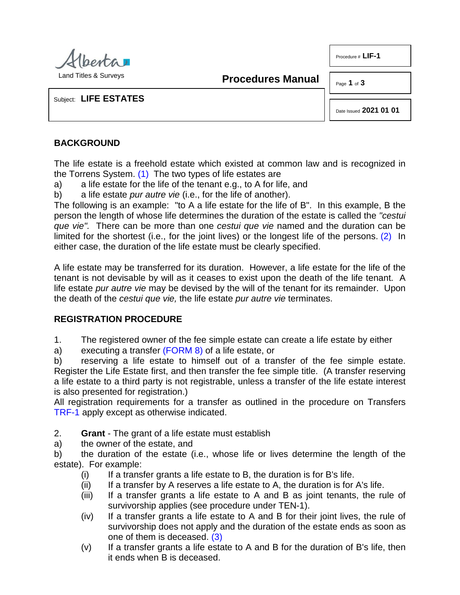

Land Titles & Surveys

**Procedures Manual**

Page **1** of **3**

Procedure # **LIF-1**

Subject: **LIFE ESTATES**

<span id="page-0-1"></span>Date Issued **2021 01 01**

## **BACKGROUND**

The life estate is a freehold estate which existed at common law and is recognized in the Torrens System. [\(1\)](#page-2-0) The two types of life estates are

<span id="page-0-0"></span>a) a life estate for the life of the tenant e.g., to A for life, and

b) a life estate *pur autre vie* (i.e., for the life of another).

The following is an example: "to A a life estate for the life of B". In this example, B the person the length of whose life determines the duration of the estate is called the *"cestui que vie".* There can be more than one *cestui que vie* named and the duration can be limited for the shortest (i.e., for the joint lives) or the longest life of the persons. [\(2\)](#page-2-1) In either case, the duration of the life estate must be clearly specified.

A life estate may be transferred for its duration. However, a life estate for the life of the tenant is not devisable by will as it ceases to exist upon the death of the life tenant. A life estate *pur autre vie* may be devised by the will of the tenant for its remainder. Upon the death of the *cestui que vie,* the life estate *pur autre vie* terminates.

## **REGISTRATION PROCEDURE**

1. The registered owner of the fee simple estate can create a life estate by either

a) executing a transfer [\(FORM 8\)](http://www.servicealberta.ca/pdf/ltmanual/FORM8.pdf) of a life estate, or

b) reserving a life estate to himself out of a transfer of the fee simple estate. Register the Life Estate first, and then transfer the fee simple title. (A transfer reserving a life estate to a third party is not registrable, unless a transfer of the life estate interest is also presented for registration.)

All registration requirements for a transfer as outlined in the procedure on Transfers [TRF-1](http://www.servicealberta.ca/pdf/ltmanual/TRF-1.pdf) apply except as otherwise indicated.

- 2. **Grant** The grant of a life estate must establish
- a) the owner of the estate, and

b) the duration of the estate (i.e., whose life or lives determine the length of the estate). For example:

- $(i)$  If a transfer grants a life estate to B, the duration is for B's life.
- $(ii)$  If a transfer by A reserves a life estate to A, the duration is for A's life.
- (iii) If a transfer grants a life estate to A and B as joint tenants, the rule of survivorship applies (see procedure under TEN-1).
- (iv) If a transfer grants a life estate to A and B for their joint lives, the rule of survivorship does not apply and the duration of the estate ends as soon as one of them is deceased. [\(3\)](#page-2-2)
- <span id="page-0-2"></span> $(v)$  If a transfer grants a life estate to A and B for the duration of B's life, then it ends when B is deceased.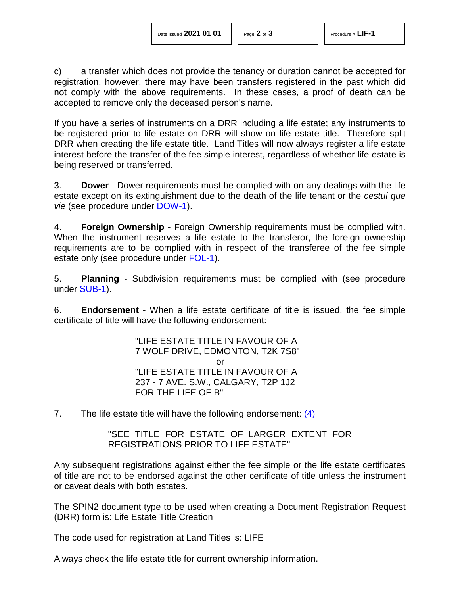c) a transfer which does not provide the tenancy or duration cannot be accepted for registration, however, there may have been transfers registered in the past which did not comply with the above requirements. In these cases, a proof of death can be accepted to remove only the deceased person's name.

If you have a series of instruments on a DRR including a life estate; any instruments to be registered prior to life estate on DRR will show on life estate title. Therefore split DRR when creating the life estate title. Land Titles will now always register a life estate interest before the transfer of the fee simple interest, regardless of whether life estate is being reserved or transferred.

3. **Dower** - Dower requirements must be complied with on any dealings with the life estate except on its extinguishment due to the death of the life tenant or the *cestui que vie* (see procedure under [DOW-1\)](http://www.servicealberta.ca/pdf/ltmanual/DOW-1.pdf).

4. **Foreign Ownership** - Foreign Ownership requirements must be complied with. When the instrument reserves a life estate to the transferor, the foreign ownership requirements are to be complied with in respect of the transferee of the fee simple estate only (see procedure under [FOL-1\)](http://www.servicealberta.ca/pdf/ltmanual/FOL-1.pdf).

5. **Planning** - Subdivision requirements must be complied with (see procedure under [SUB-1\)](http://www.servicealberta.ca/pdf/ltmanual/SUB-1.pdf).

6. **Endorsement** - When a life estate certificate of title is issued, the fee simple certificate of title will have the following endorsement:

> <span id="page-1-0"></span>"LIFE ESTATE TITLE IN FAVOUR OF A 7 WOLF DRIVE, EDMONTON, T2K 7S8" or "LIFE ESTATE TITLE IN FAVOUR OF A 237 - 7 AVE. S.W., CALGARY, T2P 1J2 FOR THE LIFE OF B"

7. The life estate title will have the following endorsement: [\(4\)](#page-2-3)

"SEE TITLE FOR ESTATE OF LARGER EXTENT FOR REGISTRATIONS PRIOR TO LIFE ESTATE"

Any subsequent registrations against either the fee simple or the life estate certificates of title are not to be endorsed against the other certificate of title unless the instrument or caveat deals with both estates.

The SPIN2 document type to be used when creating a Document Registration Request (DRR) form is: Life Estate Title Creation

The code used for registration at Land Titles is: LIFE

Always check the life estate title for current ownership information.